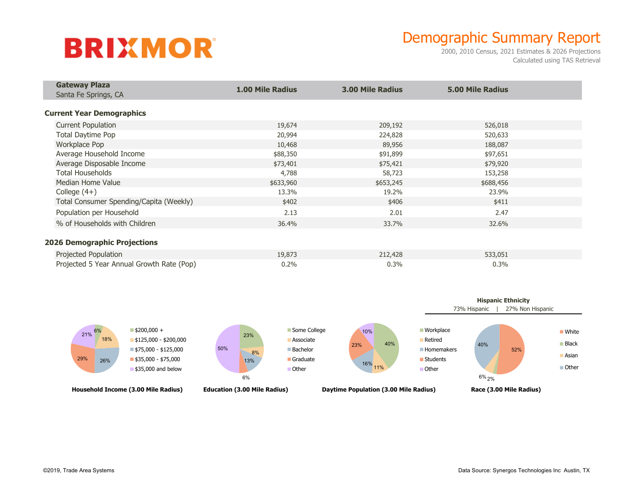## **BRIXMOR**

## Demographic Summary Report

2000, 2010 Census, 2021 Estimates & 2026 Projections Calculated using TAS Retrieval

| <b>Gateway Plaza</b>                      | <b>1.00 Mile Radius</b> | <b>3.00 Mile Radius</b> | <b>5.00 Mile Radius</b> |  |
|-------------------------------------------|-------------------------|-------------------------|-------------------------|--|
| Santa Fe Springs, CA                      |                         |                         |                         |  |
| <b>Current Year Demographics</b>          |                         |                         |                         |  |
| <b>Current Population</b>                 | 19,674                  | 209,192                 | 526,018                 |  |
| Total Daytime Pop                         | 20,994                  | 224,828                 | 520,633                 |  |
| <b>Workplace Pop</b>                      | 10,468                  | 89,956                  | 188,087                 |  |
| Average Household Income                  | \$88,350                | \$91,899                | \$97,651                |  |
| Average Disposable Income                 | \$73,401                | \$75,421                | \$79,920                |  |
| <b>Total Households</b>                   | 4,788                   | 58,723                  | 153,258                 |  |
| Median Home Value                         | \$633,960               | \$653,245               | \$688,456               |  |
| College $(4+)$                            | 13.3%                   | 19.2%                   | 23.9%                   |  |
| Total Consumer Spending/Capita (Weekly)   | \$402                   | \$406                   | \$411                   |  |
| Population per Household                  | 2.13                    | 2.01                    | 2.47                    |  |
| % of Households with Children             | 36.4%                   | 33.7%                   | 32.6%                   |  |
| <b>2026 Demographic Projections</b>       |                         |                         |                         |  |
| Projected Population                      | 19,873                  | 212,428                 | 533,051                 |  |
| Projected 5 Year Annual Growth Rate (Pop) | 0.2%                    | 0.3%                    | 0.3%                    |  |